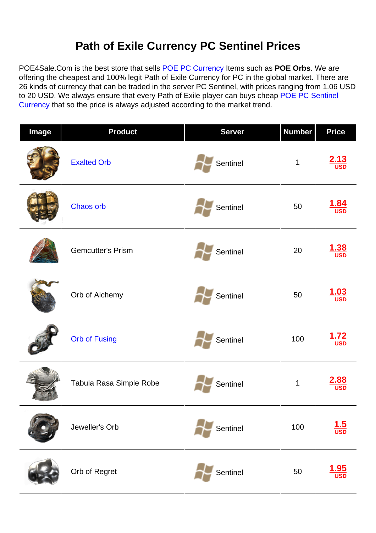## **Path of Exile Currency PC Sentinel Prices**

POE4Sale.Com is the best store that sells [POE PC Currency](https://www.poe4sale.com/poe-currency/pc) Items such as **POE Orbs**. We are offering the cheapest and 100% legit Path of Exile Currency for PC in the global market. There are 26 kinds of currency that can be traded in the server PC Sentinel, with prices ranging from 1.06 USD to 20 USD. We always ensure that every Path of Exile player can buys cheap [POE PC Sentinel](https://www.poe4sale.com/poe-currency/pc/sentinel) [Currency](https://www.poe4sale.com/poe-currency/pc/sentinel) that so the price is always adjusted according to the market trend.

| Image | <b>Product</b>           | <b>Server</b> | <b>Number</b> | <b>Price</b>              |
|-------|--------------------------|---------------|---------------|---------------------------|
|       | <b>Exalted Orb</b>       | Sentinel      | $\mathbf 1$   | $\frac{2.13}{USD}$        |
|       | Chaos orb                | Sentinel      | 50            | $\frac{1.84}{\text{USD}}$ |
|       | <b>Gemcutter's Prism</b> | Sentinel      | 20            | $\frac{1.38}{\text{USD}}$ |
|       | Orb of Alchemy           | Sentinel      | 50            | $\frac{1.03}{\text{USD}}$ |
|       | <b>Orb of Fusing</b>     | Sentinel      | 100           | <b>USD</b>                |
|       | Tabula Rasa Simple Robe  | Sentinel      | $\mathbf 1$   | 2.88<br><b>USD</b>        |
|       | Jeweller's Orb           | Sentinel      | 100           | $\frac{1.5}{\text{USD}}$  |
|       | Orb of Regret            | Sentinel      | 50            | 1.95                      |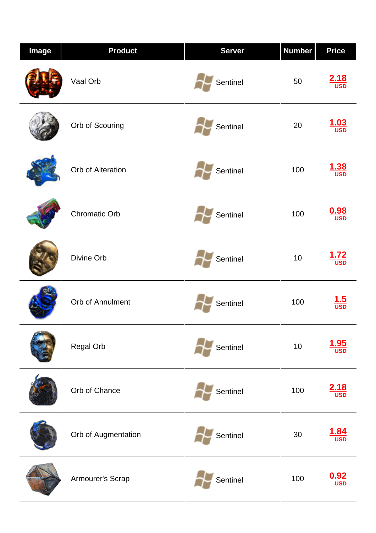| <b>Image</b> | <b>Product</b>       | <b>Server</b> | <b>Number</b> | <b>Price</b>              |
|--------------|----------------------|---------------|---------------|---------------------------|
|              | Vaal Orb             | Sentinel      | 50            | $\frac{2.18}{\text{USD}}$ |
|              | Orb of Scouring      | Sentinel      | 20            | .03<br><b>USD</b>         |
|              | Orb of Alteration    | Sentinel      | 100           | l .38<br><b>USD</b>       |
|              | <b>Chromatic Orb</b> | Sentinel      | 100           | $\frac{0.98}{\text{USD}}$ |
|              | Divine Orb           | Sentinel      | 10            | $\frac{1.72}{\text{USD}}$ |
|              | Orb of Annulment     | Sentinel      | 100           | $\frac{1.5}{\text{USD}}$  |
|              | Regal Orb            | Sentinel      | $10$          | $\frac{1.95}{\text{USD}}$ |
|              | Orb of Chance        | Sentinel      | 100           | $\frac{2.18}{\text{USD}}$ |
|              | Orb of Augmentation  | Sentinel      | $30\,$        | <b>USD</b>                |
|              | Armourer's Scrap     | Sentinel      | 100           |                           |